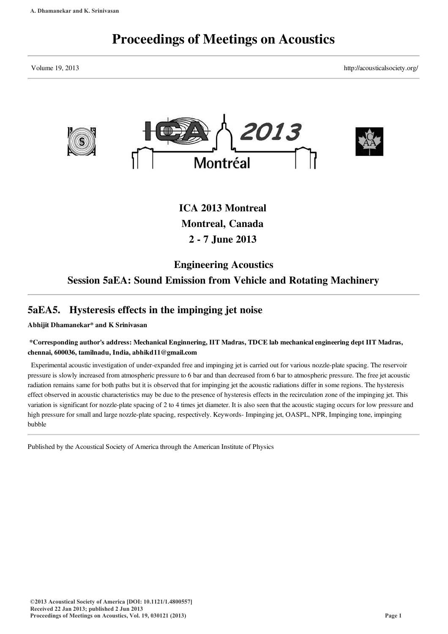# Proceedings of Meetings on Acoustics

Volume 19, 2013 http://acousticalsociety.org/



ICA 2013 Montreal Montreal, Canada 2 - 7 June 2013

# Engineering Acoustics Session 5aEA: Sound Emission from Vehicle and Rotating Machinery

# 5aEA5. Hysteresis effects in the impinging jet noise

Abhijit Dhamanekar\* and K Srinivasan

## \*Corresponding author's address: Mechanical Enginnering, IIT Madras, TDCE lab mechanical engineering dept IIT Madras, chennai, 600036, tamilnadu, India, abhikd11@gmail.com

Experimental acoustic investigation of under-expanded free and impinging jet is carried out for various nozzle-plate spacing. The reservoir pressure is slowly increased from atmospheric pressure to 6 bar and than decreased from 6 bar to atmospheric pressure. The free jet acoustic radiation remains same for both paths but it is observed that for impinging jet the acoustic radiations differ in some regions. The hysteresis effect observed in acoustic characteristics may be due to the presence of hysteresis effects in the recirculation zone of the impinging jet. This variation is significant for nozzle-plate spacing of 2 to 4 times jet diameter. It is also seen that the acoustic staging occurs for low pressure and high pressure for small and large nozzle-plate spacing, respectively. Keywords- Impinging jet, OASPL, NPR, Impinging tone, impinging bubble

Published by the Acoustical Society of America through the American Institute of Physics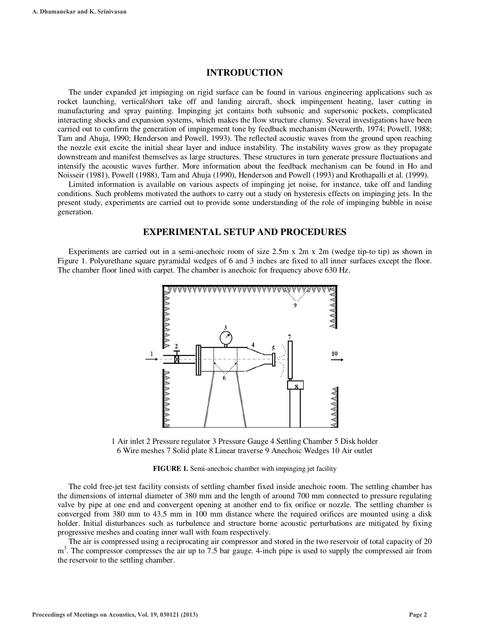### **INTRODUCTION**

The under expanded jet impinging on rigid surface can be found in various engineering applications such as rocket launching, vertical/short take off and landing aircraft, shock impingement heating, laser cutting in manufacturing and spray painting. Impinging jet contains both subsonic and supersonic pockets, complicated interacting shocks and expansion systems, which makes the flow structure clumsy. Several investigations have been carried out to confirm the generation of impingement tone by feedback mechanism (Neuwerth, 1974; Powell, 1988; Tam and Ahuja, 1990; Henderson and Powell, 1993). The reflected acoustic waves from the ground upon reaching the nozzle exit excite the initial shear layer and induce instability. The instability waves grow as they propagate downstream and manifest themselves as large structures. These structures in turn generate pressure fluctuations and intensify the acoustic waves further. More information about the feedback mechanism can be found in Ho and Noisseir (1981), Powell (1988), Tam and Ahuja (1990), Henderson and Powell (1993) and Krothapalli et al. (1999).

Limited information is available on various aspects of impinging jet noise, for instance, take off and landing conditions. Such problems motivated the authors to carry out a study on hysteresis effects on impinging jets. In the present study, experiments are carried out to provide some understanding of the role of impinging bubble in noise generation.

#### **EXPERIMENTAL SETUP AND PROCEDURES**

Experiments are carried out in a semi-anechoic room of size 2.5m x 2m x 2m (wedge tip-to tip) as shown in Figure 1. Polyurethane square pyramidal wedges of 6 and 3 inches are fixed to all inner surfaces except the floor. The chamber floor lined with carpet. The chamber is anechoic for frequency above 630 Hz.



1 Air inlet 2 Pressure regulator 3 Pressure Gauge 4 Settling Chamber 5 Disk holder 6 Wire meshes 7 Solid plate 8 Linear traverse 9 Anechoic Wedges 10 Air outlet

#### **FIGURE 1.** Semi-anechoic chamber with impinging jet facility

The cold free-jet test facility consists of settling chamber fixed inside anechoic room. The settling chamber has the dimensions of internal diameter of 380 mm and the length of around 700 mm connected to pressure regulating valve by pipe at one end and convergent opening at another end to fix orifice or nozzle. The settling chamber is converged from 380 mm to 43.5 mm in 100 mm distance where the required orifices are mounted using a disk holder. Initial disturbances such as turbulence and structure borne acoustic perturbations are mitigated by fixing progressive meshes and coating inner wall with foam respectively.

The air is compressed using a reciprocating air compressor and stored in the two reservoir of total capacity of 20 m<sup>3</sup>. The compressor compresses the air up to 7.5 bar gauge. 4-inch pipe is used to supply the compressed air from the reservoir to the settling chamber.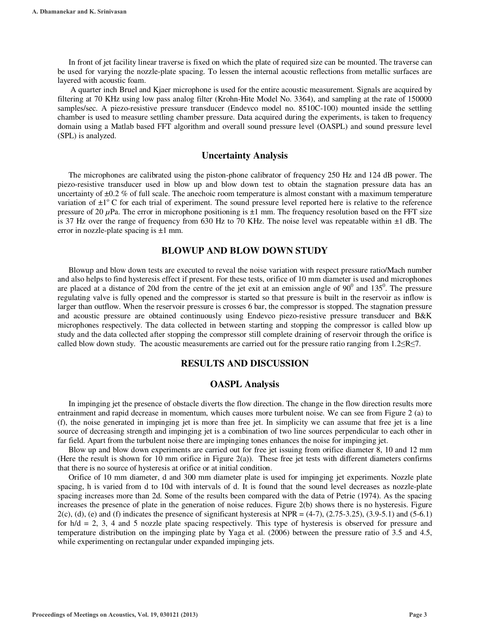In front of jet facility linear traverse is fixed on which the plate of required size can be mounted. The traverse can be used for varying the nozzle-plate spacing. To lessen the internal acoustic reflections from metallic surfaces are layered with acoustic foam.

 A quarter inch Bruel and Kjaer microphone is used for the entire acoustic measurement. Signals are acquired by filtering at 70 KHz using low pass analog filter (Krohn-Hite Model No. 3364), and sampling at the rate of 150000 samples/sec. A piezo-resistive pressure transducer (Endevco model no. 8510C-100) mounted inside the settling chamber is used to measure settling chamber pressure. Data acquired during the experiments, is taken to frequency domain using a Matlab based FFT algorithm and overall sound pressure level (OASPL) and sound pressure level (SPL) is analyzed.

#### **Uncertainty Analysis**

The microphones are calibrated using the piston-phone calibrator of frequency 250 Hz and 124 dB power. The piezo-resistive transducer used in blow up and blow down test to obtain the stagnation pressure data has an uncertainty of  $\pm 0.2$  % of full scale. The anechoic room temperature is almost constant with a maximum temperature variation of  $\pm 1^{\circ}$  C for each trial of experiment. The sound pressure level reported here is relative to the reference pressure of 20 *μ*Pa. The error in microphone positioning is ±1 mm. The frequency resolution based on the FFT size is 37 Hz over the range of frequency from 630 Hz to 70 KHz. The noise level was repeatable within  $\pm 1$  dB. The error in nozzle-plate spacing is ±1 mm.

### **BLOWUP AND BLOW DOWN STUDY**

Blowup and blow down tests are executed to reveal the noise variation with respect pressure ratio/Mach number and also helps to find hysteresis effect if present. For these tests, orifice of 10 mm diameter is used and microphones are placed at a distance of 20d from the centre of the jet exit at an emission angle of  $90^0$  and  $135^0$ . The pressure regulating valve is fully opened and the compressor is started so that pressure is built in the reservoir as inflow is larger than outflow. When the reservoir pressure is crosses 6 bar, the compressor is stopped. The stagnation pressure and acoustic pressure are obtained continuously using Endevco piezo-resistive pressure transducer and B&K microphones respectively. The data collected in between starting and stopping the compressor is called blow up study and the data collected after stopping the compressor still complete draining of reservoir through the orifice is called blow down study. The acoustic measurements are carried out for the pressure ratio ranging from  $1.2 \le R \le 7$ .

#### **RESULTS AND DISCUSSION**

#### **OASPL Analysis**

In impinging jet the presence of obstacle diverts the flow direction. The change in the flow direction results more entrainment and rapid decrease in momentum, which causes more turbulent noise. We can see from Figure 2 (a) to (f), the noise generated in impinging jet is more than free jet. In simplicity we can assume that free jet is a line source of decreasing strength and impinging jet is a combination of two line sources perpendicular to each other in far field. Apart from the turbulent noise there are impinging tones enhances the noise for impinging jet.

Blow up and blow down experiments are carried out for free jet issuing from orifice diameter 8, 10 and 12 mm (Here the result is shown for 10 mm orifice in Figure 2(a)). These free jet tests with different diameters confirms that there is no source of hysteresis at orifice or at initial condition.

Orifice of 10 mm diameter, d and 300 mm diameter plate is used for impinging jet experiments. Nozzle plate spacing, h is varied from d to 10d with intervals of d. It is found that the sound level decreases as nozzle-plate spacing increases more than 2d. Some of the results been compared with the data of Petrie (1974). As the spacing increases the presence of plate in the generation of noise reduces. Figure 2(b) shows there is no hysteresis. Figure  $2(c)$ , (d), (e) and (f) indicates the presence of significant hysteresis at NPR = (4-7), (2.75-3.25), (3.9-5.1) and (5-6.1) for  $h/d = 2$ , 3, 4 and 5 nozzle plate spacing respectively. This type of hysteresis is observed for pressure and temperature distribution on the impinging plate by Yaga et al. (2006) between the pressure ratio of 3.5 and 4.5, while experimenting on rectangular under expanded impinging jets.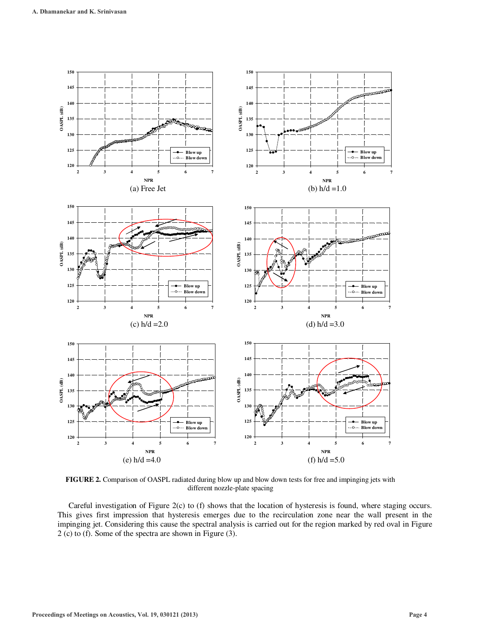

**FIGURE 2.** Comparison of OASPL radiated during blow up and blow down tests for free and impinging jets with different nozzle-plate spacing

Careful investigation of Figure 2(c) to (f) shows that the location of hysteresis is found, where staging occurs. This gives first impression that hysteresis emerges due to the recirculation zone near the wall present in the impinging jet. Considering this cause the spectral analysis is carried out for the region marked by red oval in Figure 2 (c) to (f). Some of the spectra are shown in Figure (3).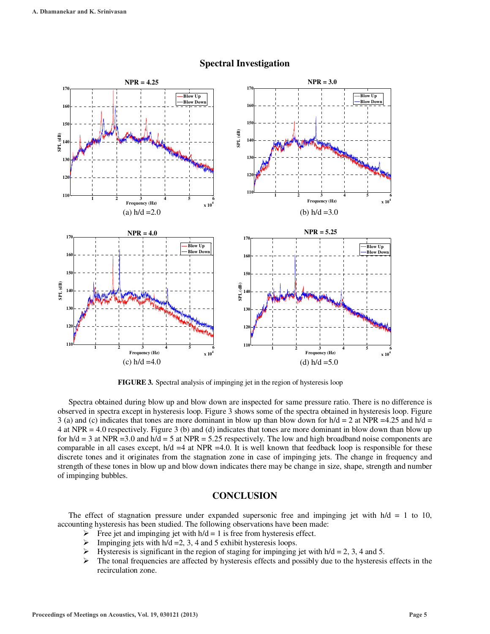

#### **Spectral Investigation**

**FIGURE 3.** Spectral analysis of impinging jet in the region of hysteresis loop

Spectra obtained during blow up and blow down are inspected for same pressure ratio. There is no difference is observed in spectra except in hysteresis loop. Figure 3 shows some of the spectra obtained in hysteresis loop. Figure 3 (a) and (c) indicates that tones are more dominant in blow up than blow down for  $h/d = 2$  at NPR =4.25 and  $h/d = 2$ 4 at NPR = 4.0 respectively. Figure 3 (b) and (d) indicates that tones are more dominant in blow down than blow up for  $h/d = 3$  at NPR = 3.0 and  $h/d = 5$  at NPR = 5.25 respectively. The low and high broadband noise components are comparable in all cases except,  $h/d = 4$  at NPR =4.0. It is well known that feedback loop is responsible for these discrete tones and it originates from the stagnation zone in case of impinging jets. The change in frequency and strength of these tones in blow up and blow down indicates there may be change in size, shape, strength and number of impinging bubbles.

#### **CONCLUSION**

The effect of stagnation pressure under expanded supersonic free and impinging jet with  $h/d = 1$  to 10, accounting hysteresis has been studied. The following observations have been made:

- Free jet and impinging jet with  $h/d = 1$  is free from hysteresis effect.
- $\triangleright$  Impinging jets with h/d = 2, 3, 4 and 5 exhibit hysteresis loops.
- $\blacktriangleright$ Hysteresis is significant in the region of staging for impinging jet with  $h/d = 2$ , 3, 4 and 5.
- $\blacktriangleright$  The tonal frequencies are affected by hysteresis effects and possibly due to the hysteresis effects in the recirculation zone.